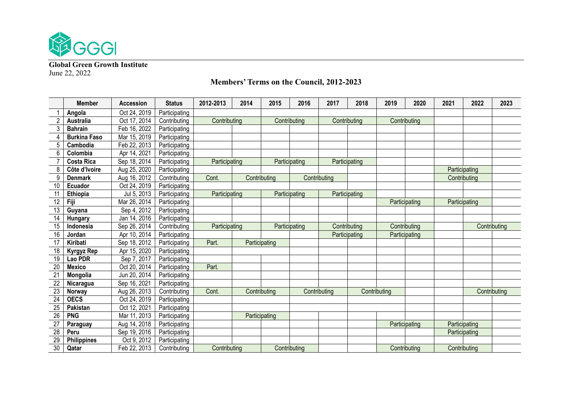

**Global Green Growth Institute** June 22, 2022

## **Member Accession Status 2012-2013 2014 2015 2016 2017 2018 2019 2020 2021 2022 2023 Angola** Oct 24, 2019 Participating **| Australia** Oct 17, 2014 | Contributing | Contributing | Contributing | Contributing | Contributing **Bahrain** Feb 16, 2022 Participating **Burkina Faso** Mar 15, 2019 Participating **Cambodia** Feb 22, 2013 Participating **Colombia** Apr 14, 2021 Participating **| Costa Rica** | Sep 18, 2014 | Participating | Participating | Participating | Participating **Côte d'Ivoire** Aug 25, 2020 Participating Participating **Denmark** Aug 16, 2012 Contributing Cont. Contributing Contributing Contributing **Ecuador** Oct 24, 2019 Participating **Ethiopia** Jul 5, 2013 Participating Participating Participating Participating **Fiji** Mar 26, 2014 Participating Participating Participating **Guyana Sep 4, 2012** Participating **Hungary** Jan 14, 2016 Participating 15 | **Indonesia** | Sep 26, 2014 | Contributing | Participating | Participating | Contributing | Contributing | Contributing | Contributing **Jordan** Apr 10, 2014 Participating Participating Participating **Kiribati** Sep 18, 2012 Participating Part. Participating 18 | Kyrgyz Rep | Apr 15, 2020 | Participating 19 | Lao PDR | Sep 7, 2017 | Participating **Mexico Contract Participating Part. Mongolia** Jun 20, 2014 Participating **Nicaragua** Sep 16, 2021 Participating **| Norway** | Aug 26, 2013 | Contributing | Contributing | Contributing | Contributing | Contributing | Contributing | Contributing | Contributing | Contributing | Contributing | Contributing | Contributing **OECS** Oct 24, 2019 Participating **Pakistan** Oct 12, 2021 Participating **PNG** Mar 11, 2013 Participating **Participating Participating Paraguay** Aug 14, 2018 Participating Participating Participating **Peru** Sep 19, 2016 Participating Participating **Philippines** Oct 9, 2012 Participating **Qatar** Feb 22, 2013 Contributing Contributing Contributing Contributing Contributing

## **Members' Terms on the Council, 2012-2023**